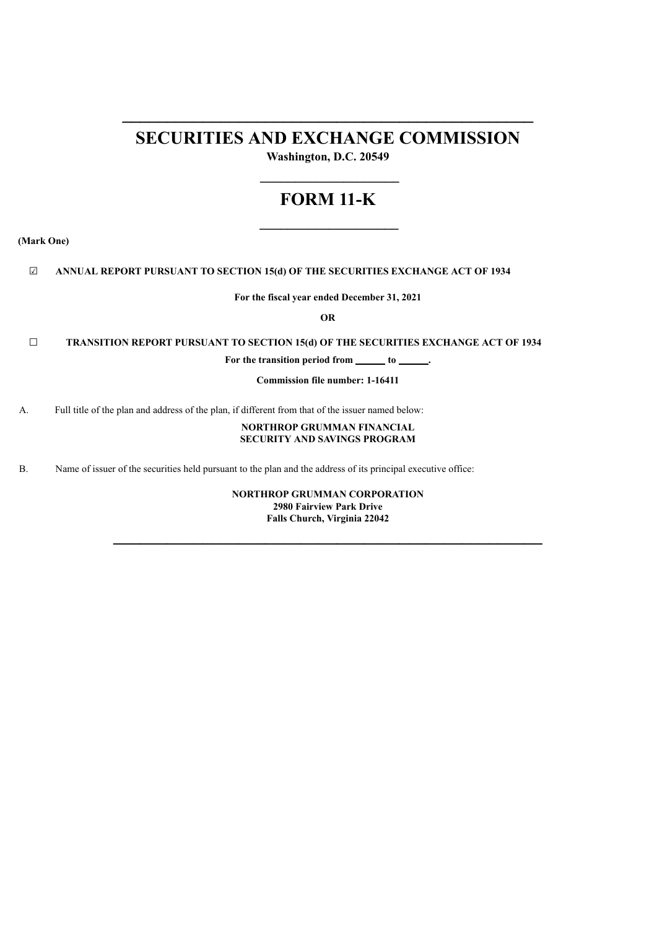## **SECURITIES AND EXCHANGE COMMISSION**

**\_\_\_\_\_\_\_\_\_\_\_\_\_\_\_\_\_\_\_\_\_\_\_\_\_\_\_\_\_\_\_\_\_\_\_\_\_\_\_\_\_\_\_\_\_\_**

**Washington, D.C. 20549 \_\_\_\_\_\_\_\_\_\_\_\_\_\_\_\_\_\_\_\_**

# **FORM 11-K**

**\_\_\_\_\_\_\_\_\_\_\_\_\_\_\_\_\_\_\_\_**

**(Mark One)**

☑ **ANNUAL REPORT PURSUANT TO SECTION 15(d) OF THE SECURITIES EXCHANGE ACT OF 1934**

**For the fiscal year ended December 31, 2021**

**OR**

☐ **TRANSITION REPORT PURSUANT TO SECTION 15(d) OF THE SECURITIES EXCHANGE ACT OF 1934**

For the transition period from <u>the sum of the sum of the sum of  $\theta$  **.**</u>

**Commission file number: 1-16411**

A. Full title of the plan and address of the plan, if different from that of the issuer named below:

#### **NORTHROP GRUMMAN FINANCIAL SECURITY AND SAVINGS PROGRAM**

B. Name of issuer of the securities held pursuant to the plan and the address of its principal executive office:

**NORTHROP GRUMMAN CORPORATION 2980 Fairview Park Drive Falls Church, Virginia 22042**

**\_\_\_\_\_\_\_\_\_\_\_\_\_\_\_\_\_\_\_\_\_\_\_\_\_\_\_\_\_\_\_\_\_\_\_\_\_\_\_\_\_\_\_\_\_\_\_\_**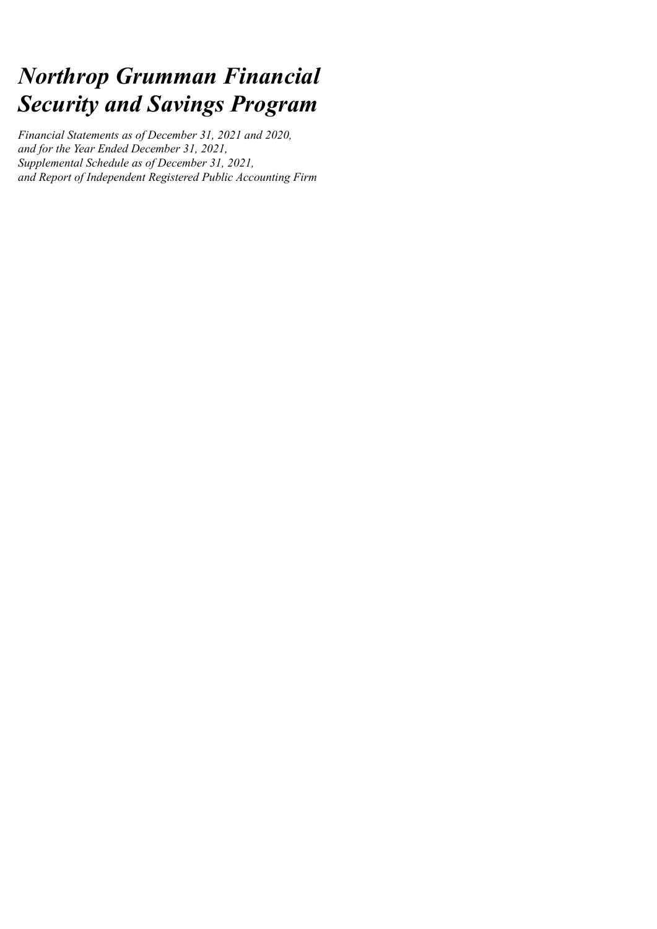# *Northrop Grumman Financial Security and Savings Program*

*Financial Statements as of December 31, 2021 and 2020, and for the Year Ended December 31, 2021, Supplemental Schedule as of December 31, 2021, and Report of Independent Registered Public Accounting Firm*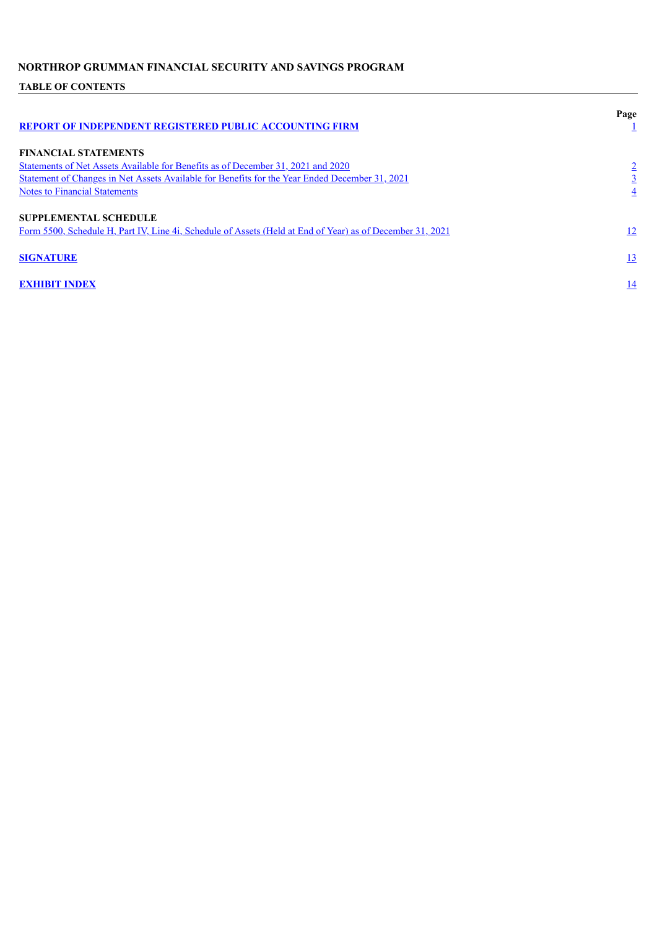## **TABLE OF CONTENTS**

<span id="page-2-0"></span>

| <b>REPORT OF INDEPENDENT REGISTERED PUBLIC ACCOUNTING FIRM</b>                                                                                                                                                                                            | Page |
|-----------------------------------------------------------------------------------------------------------------------------------------------------------------------------------------------------------------------------------------------------------|------|
| <b>FINANCIAL STATEMENTS</b><br>Statements of Net Assets Available for Benefits as of December 31, 2021 and 2020<br>Statement of Changes in Net Assets Available for Benefits for the Year Ended December 31, 2021<br><b>Notes to Financial Statements</b> | 4    |
| <b>SUPPLEMENTAL SCHEDULE</b><br>Form 5500, Schedule H, Part IV, Line 4i, Schedule of Assets (Held at End of Year) as of December 31, 2021                                                                                                                 | 12   |
| <b>SIGNATURE</b>                                                                                                                                                                                                                                          | 13   |
| <b>EXHIBIT INDEX</b>                                                                                                                                                                                                                                      | 14   |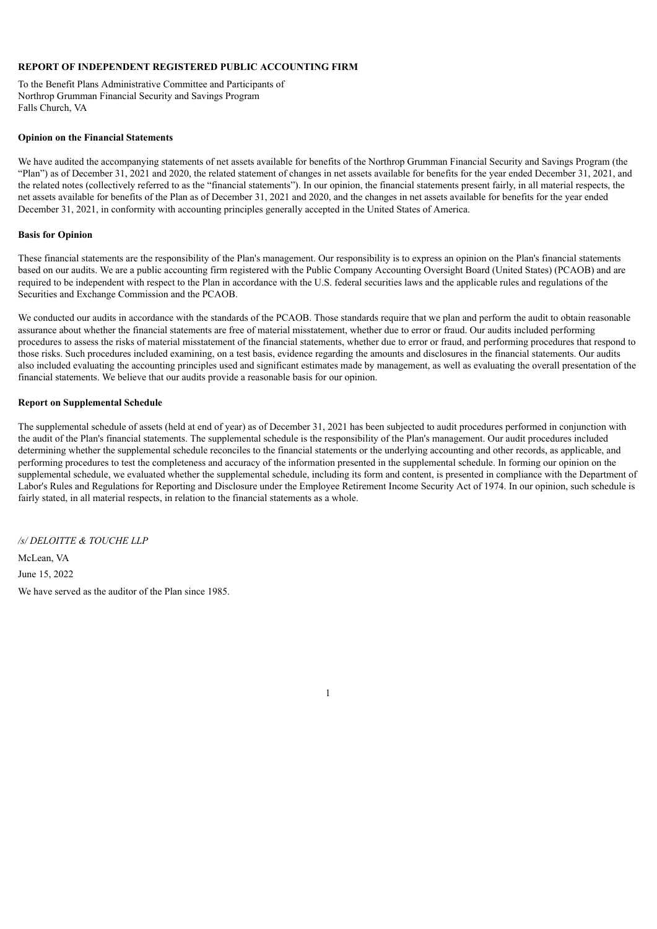#### **REPORT OF INDEPENDENT REGISTERED PUBLIC ACCOUNTING FIRM**

To the Benefit Plans Administrative Committee and Participants of Northrop Grumman Financial Security and Savings Program Falls Church, VA

#### **Opinion on the Financial Statements**

We have audited the accompanying statements of net assets available for benefits of the Northrop Grumman Financial Security and Savings Program (the "Plan") as of December 31, 2021 and 2020, the related statement of changes in net assets available for benefits for the year ended December 31, 2021, and the related notes (collectively referred to as the "financial statements"). In our opinion, the financial statements present fairly, in all material respects, the net assets available for benefits of the Plan as of December 31, 2021 and 2020, and the changes in net assets available for benefits for the year ended December 31, 2021, in conformity with accounting principles generally accepted in the United States of America.

#### **Basis for Opinion**

These financial statements are the responsibility of the Plan's management. Our responsibility is to express an opinion on the Plan's financial statements based on our audits. We are a public accounting firm registered with the Public Company Accounting Oversight Board (United States) (PCAOB) and are required to be independent with respect to the Plan in accordance with the U.S. federal securities laws and the applicable rules and regulations of the Securities and Exchange Commission and the PCAOB.

We conducted our audits in accordance with the standards of the PCAOB. Those standards require that we plan and perform the audit to obtain reasonable assurance about whether the financial statements are free of material misstatement, whether due to error or fraud. Our audits included performing procedures to assess the risks of material misstatement of the financial statements, whether due to error or fraud, and performing procedures that respond to those risks. Such procedures included examining, on a test basis, evidence regarding the amounts and disclosures in the financial statements. Our audits also included evaluating the accounting principles used and significant estimates made by management, as well as evaluating the overall presentation of the financial statements. We believe that our audits provide a reasonable basis for our opinion.

#### **Report on Supplemental Schedule**

The supplemental schedule of assets (held at end of year) as of December 31, 2021 has been subjected to audit procedures performed in conjunction with the audit of the Plan's financial statements. The supplemental schedule is the responsibility of the Plan's management. Our audit procedures included determining whether the supplemental schedule reconciles to the financial statements or the underlying accounting and other records, as applicable, and performing procedures to test the completeness and accuracy of the information presented in the supplemental schedule. In forming our opinion on the supplemental schedule, we evaluated whether the supplemental schedule, including its form and content, is presented in compliance with the Department of Labor's Rules and Regulations for Reporting and Disclosure under the Employee Retirement Income Security Act of 1974. In our opinion, such schedule is fairly stated, in all material respects, in relation to the financial statements as a whole.

1

<span id="page-3-0"></span>*/s/ DELOITTE & TOUCHE LLP* McLean, VA June 15, 2022 We have served as the auditor of the Plan since 1985.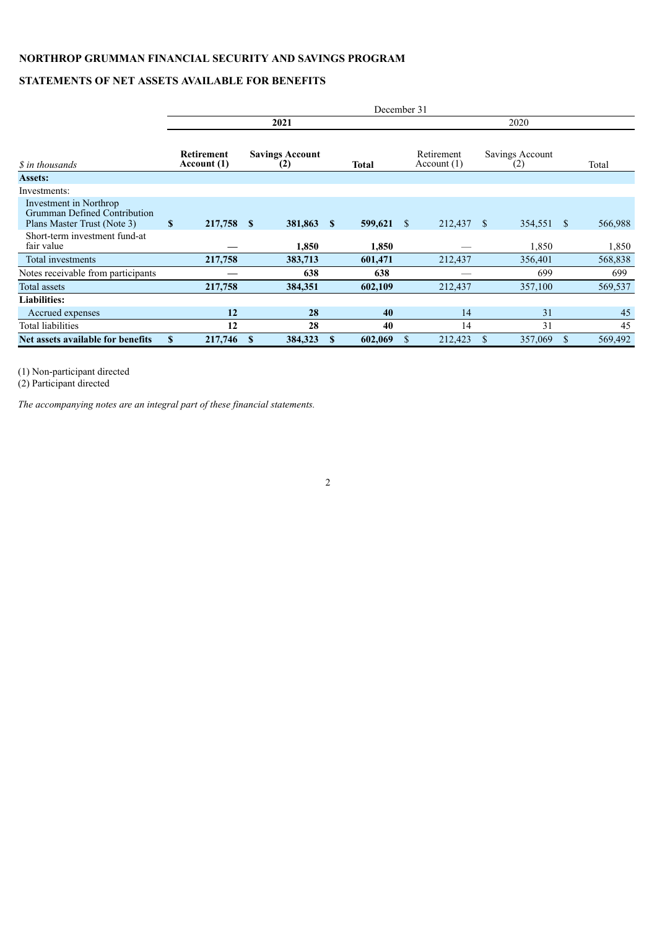## **STATEMENTS OF NET ASSETS AVAILABLE FOR BENEFITS**

|                                                                                       | December 31               |   |                               |              |              |               |                          |    |                        |              |         |
|---------------------------------------------------------------------------------------|---------------------------|---|-------------------------------|--------------|--------------|---------------|--------------------------|----|------------------------|--------------|---------|
|                                                                                       |                           |   | 2021                          |              |              |               |                          |    | 2020                   |              |         |
| <i>S</i> in thousands                                                                 | Retirement<br>Account (1) |   | <b>Savings Account</b><br>(2) |              | <b>Total</b> |               | Retirement<br>Account(1) |    | Savings Account<br>(2) |              | Total   |
| Assets:                                                                               |                           |   |                               |              |              |               |                          |    |                        |              |         |
| Investments:                                                                          |                           |   |                               |              |              |               |                          |    |                        |              |         |
| Investment in Northrop<br>Grumman Defined Contribution<br>Plans Master Trust (Note 3) | \$<br>217,758 \$          |   | 381,863                       | $\mathbf{s}$ | 599,621      | <sup>\$</sup> | 212,437                  | -S | 354,551                | <sup>S</sup> | 566,988 |
| Short-term investment fund-at<br>fair value                                           |                           |   | 1,850                         |              | 1,850        |               |                          |    | 1,850                  |              | 1,850   |
| Total investments                                                                     | 217,758                   |   | 383,713                       |              | 601,471      |               | 212,437                  |    | 356,401                |              | 568,838 |
| Notes receivable from participants                                                    |                           |   | 638                           |              | 638          |               |                          |    | 699                    |              | 699     |
| <b>Total assets</b>                                                                   | 217,758                   |   | 384,351                       |              | 602,109      |               | 212,437                  |    | 357,100                |              | 569,537 |
| <b>Liabilities:</b>                                                                   |                           |   |                               |              |              |               |                          |    |                        |              |         |
| Accrued expenses                                                                      | 12                        |   | 28                            |              | 40           |               | 14                       |    | 31                     |              | 45      |
| Total liabilities                                                                     | 12                        |   | 28                            |              | 40           |               | 14                       |    | 31                     |              | 45      |
| Net assets available for benefits                                                     | \$<br>217,746             | S | 384,323                       | S            | 602,069      | S             | 212,423                  | S  | 357,069                | S            | 569,492 |

(1) Non-participant directed

(2) Participant directed

<span id="page-4-0"></span>*The accompanying notes are an integral part of these financial statements.*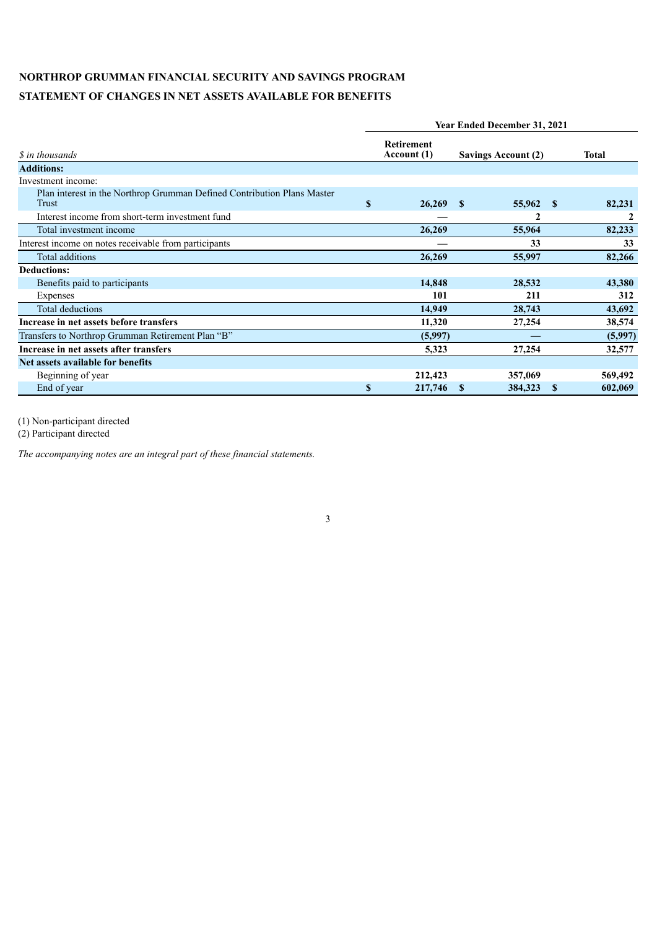## **STATEMENT OF CHANGES IN NET ASSETS AVAILABLE FOR BENEFITS**

|                                                                                         | <b>Year Ended December 31, 2021</b> |                                  |                            |                  |          |              |  |  |  |  |  |
|-----------------------------------------------------------------------------------------|-------------------------------------|----------------------------------|----------------------------|------------------|----------|--------------|--|--|--|--|--|
| <i>S</i> in thousands                                                                   |                                     | <b>Retirement</b><br>Account (1) | <b>Savings Account (2)</b> |                  |          | <b>Total</b> |  |  |  |  |  |
| <b>Additions:</b>                                                                       |                                     |                                  |                            |                  |          |              |  |  |  |  |  |
| Investment income:                                                                      |                                     |                                  |                            |                  |          |              |  |  |  |  |  |
| Plan interest in the Northrop Grumman Defined Contribution Plans Master<br><b>Trust</b> | $\mathbf{s}$                        | 26,269                           | -S                         | 55,962           | - \$     | 82,231       |  |  |  |  |  |
| Interest income from short-term investment fund                                         |                                     |                                  |                            | $\boldsymbol{2}$ |          | 2            |  |  |  |  |  |
| Total investment income                                                                 |                                     | 26,269                           |                            | 55,964           |          | 82,233       |  |  |  |  |  |
| Interest income on notes receivable from participants                                   |                                     |                                  |                            | 33               |          | 33           |  |  |  |  |  |
| Total additions                                                                         |                                     | 26,269                           |                            | 55,997           |          | 82,266       |  |  |  |  |  |
| <b>Deductions:</b>                                                                      |                                     |                                  |                            |                  |          |              |  |  |  |  |  |
| Benefits paid to participants                                                           |                                     | 14,848                           |                            | 28,532           |          | 43,380       |  |  |  |  |  |
| Expenses                                                                                |                                     | 101                              |                            | 211              |          | 312          |  |  |  |  |  |
| <b>Total deductions</b>                                                                 |                                     | 14,949                           |                            | 28,743           |          | 43,692       |  |  |  |  |  |
| Increase in net assets before transfers                                                 |                                     | 11,320                           |                            | 27,254           |          | 38,574       |  |  |  |  |  |
| Transfers to Northrop Grumman Retirement Plan "B"                                       |                                     | (5,997)                          |                            |                  |          | (5,997)      |  |  |  |  |  |
| Increase in net assets after transfers                                                  |                                     | 5,323                            |                            | 27,254           |          | 32,577       |  |  |  |  |  |
| Net assets available for benefits                                                       |                                     |                                  |                            |                  |          |              |  |  |  |  |  |
| Beginning of year                                                                       |                                     | 212,423                          |                            | 357,069          |          | 569,492      |  |  |  |  |  |
| End of year                                                                             | $\mathbf{s}$                        | 217,746                          | S                          | 384,323          | <b>S</b> | 602,069      |  |  |  |  |  |

(1) Non-participant directed

<span id="page-5-0"></span>*The accompanying notes are an integral part of these financial statements.*

<sup>(2)</sup> Participant directed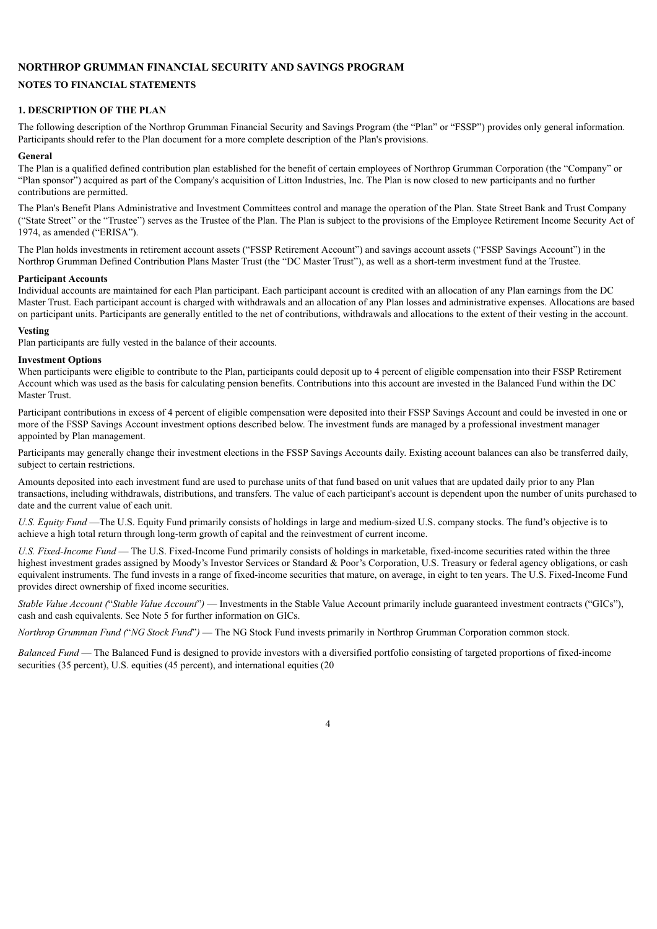#### **NOTES TO FINANCIAL STATEMENTS**

#### **1. DESCRIPTION OF THE PLAN**

The following description of the Northrop Grumman Financial Security and Savings Program (the "Plan" or "FSSP") provides only general information. Participants should refer to the Plan document for a more complete description of the Plan's provisions.

#### **General**

The Plan is a qualified defined contribution plan established for the benefit of certain employees of Northrop Grumman Corporation (the "Company" or "Plan sponsor") acquired as part of the Company's acquisition of Litton Industries, Inc. The Plan is now closed to new participants and no further contributions are permitted.

The Plan's Benefit Plans Administrative and Investment Committees control and manage the operation of the Plan. State Street Bank and Trust Company ("State Street" or the "Trustee") serves as the Trustee of the Plan. The Plan is subject to the provisions of the Employee Retirement Income Security Act of 1974, as amended ("ERISA").

The Plan holds investments in retirement account assets ("FSSP Retirement Account") and savings account assets ("FSSP Savings Account") in the Northrop Grumman Defined Contribution Plans Master Trust (the "DC Master Trust"), as well as a short-term investment fund at the Trustee.

#### **Participant Accounts**

Individual accounts are maintained for each Plan participant. Each participant account is credited with an allocation of any Plan earnings from the DC Master Trust. Each participant account is charged with withdrawals and an allocation of any Plan losses and administrative expenses. Allocations are based on participant units. Participants are generally entitled to the net of contributions, withdrawals and allocations to the extent of their vesting in the account.

#### **Vesting**

Plan participants are fully vested in the balance of their accounts.

#### **Investment Options**

When participants were eligible to contribute to the Plan, participants could deposit up to 4 percent of eligible compensation into their FSSP Retirement Account which was used as the basis for calculating pension benefits. Contributions into this account are invested in the Balanced Fund within the DC Master Trust.

Participant contributions in excess of 4 percent of eligible compensation were deposited into their FSSP Savings Account and could be invested in one or more of the FSSP Savings Account investment options described below. The investment funds are managed by a professional investment manager appointed by Plan management.

Participants may generally change their investment elections in the FSSP Savings Accounts daily. Existing account balances can also be transferred daily, subject to certain restrictions.

Amounts deposited into each investment fund are used to purchase units of that fund based on unit values that are updated daily prior to any Plan transactions, including withdrawals, distributions, and transfers. The value of each participant's account is dependent upon the number of units purchased to date and the current value of each unit.

*U.S. Equity Fund* —The U.S. Equity Fund primarily consists of holdings in large and medium-sized U.S. company stocks. The fund's objective is to achieve a high total return through long-term growth of capital and the reinvestment of current income.

*U.S. Fixed-Income Fund* — The U.S. Fixed-Income Fund primarily consists of holdings in marketable, fixed-income securities rated within the three highest investment grades assigned by Moody's Investor Services or Standard & Poor's Corporation, U.S. Treasury or federal agency obligations, or cash equivalent instruments. The fund invests in a range of fixed-income securities that mature, on average, in eight to ten years. The U.S. Fixed-Income Fund provides direct ownership of fixed income securities.

*Stable Value Account (*"*Stable Value Account*"*)* — Investments in the Stable Value Account primarily include guaranteed investment contracts ("GICs"), cash and cash equivalents. See Note 5 for further information on GICs.

*Northrop Grumman Fund (*"*NG Stock Fund*"*)* — The NG Stock Fund invests primarily in Northrop Grumman Corporation common stock.

*Balanced Fund* — The Balanced Fund is designed to provide investors with a diversified portfolio consisting of targeted proportions of fixed-income securities (35 percent), U.S. equities (45 percent), and international equities (20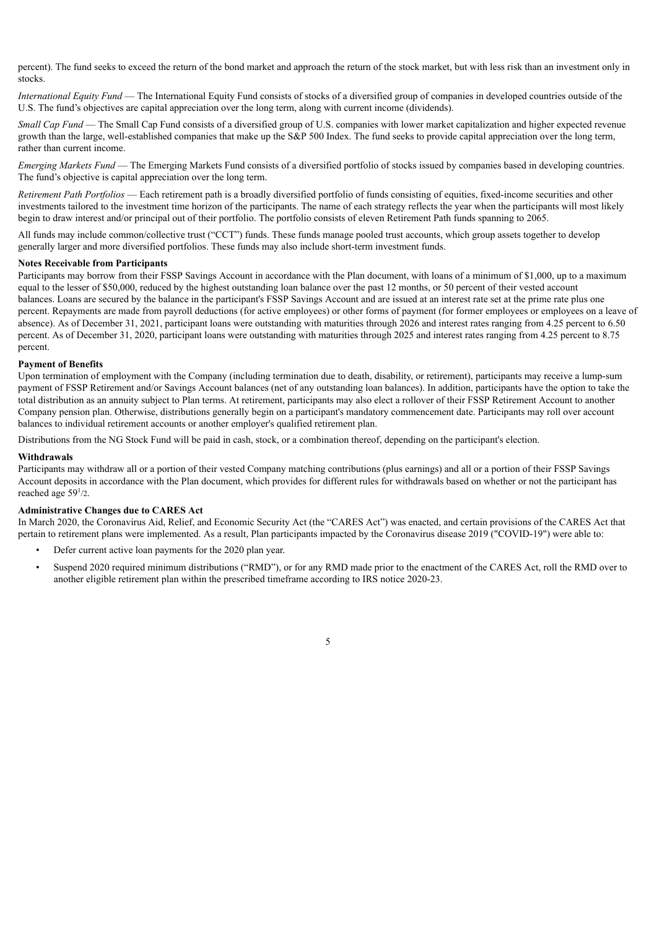percent). The fund seeks to exceed the return of the bond market and approach the return of the stock market, but with less risk than an investment only in stocks.

*International Equity Fund* — The International Equity Fund consists of stocks of a diversified group of companies in developed countries outside of the U.S. The fund's objectives are capital appreciation over the long term, along with current income (dividends).

*Small Cap Fund* — The Small Cap Fund consists of a diversified group of U.S. companies with lower market capitalization and higher expected revenue growth than the large, well-established companies that make up the S&P 500 Index. The fund seeks to provide capital appreciation over the long term, rather than current income.

*Emerging Markets Fund* — The Emerging Markets Fund consists of a diversified portfolio of stocks issued by companies based in developing countries. The fund's objective is capital appreciation over the long term.

*Retirement Path Portfolios* — Each retirement path is a broadly diversified portfolio of funds consisting of equities, fixed-income securities and other investments tailored to the investment time horizon of the participants. The name of each strategy reflects the year when the participants will most likely begin to draw interest and/or principal out of their portfolio. The portfolio consists of eleven Retirement Path funds spanning to 2065.

All funds may include common/collective trust ("CCT") funds. These funds manage pooled trust accounts, which group assets together to develop generally larger and more diversified portfolios. These funds may also include short-term investment funds.

#### **Notes Receivable from Participants**

Participants may borrow from their FSSP Savings Account in accordance with the Plan document, with loans of a minimum of \$1,000, up to a maximum equal to the lesser of \$50,000, reduced by the highest outstanding loan balance over the past 12 months, or 50 percent of their vested account balances. Loans are secured by the balance in the participant's FSSP Savings Account and are issued at an interest rate set at the prime rate plus one percent. Repayments are made from payroll deductions (for active employees) or other forms of payment (for former employees or employees on a leave of absence). As of December 31, 2021, participant loans were outstanding with maturities through 2026 and interest rates ranging from 4.25 percent to 6.50 percent. As of December 31, 2020, participant loans were outstanding with maturities through 2025 and interest rates ranging from 4.25 percent to 8.75 percent.

#### **Payment of Benefits**

Upon termination of employment with the Company (including termination due to death, disability, or retirement), participants may receive a lump-sum payment of FSSP Retirement and/or Savings Account balances (net of any outstanding loan balances). In addition, participants have the option to take the total distribution as an annuity subject to Plan terms. At retirement, participants may also elect a rollover of their FSSP Retirement Account to another Company pension plan. Otherwise, distributions generally begin on a participant's mandatory commencement date. Participants may roll over account balances to individual retirement accounts or another employer's qualified retirement plan.

Distributions from the NG Stock Fund will be paid in cash, stock, or a combination thereof, depending on the participant's election.

#### **Withdrawals**

Participants may withdraw all or a portion of their vested Company matching contributions (plus earnings) and all or a portion of their FSSP Savings Account deposits in accordance with the Plan document, which provides for different rules for withdrawals based on whether or not the participant has reached age  $59<sup>1</sup>/2$ .

#### **Administrative Changes due to CARES Act**

In March 2020, the Coronavirus Aid, Relief, and Economic Security Act (the "CARES Act") was enacted, and certain provisions of the CARES Act that pertain to retirement plans were implemented. As a result, Plan participants impacted by the Coronavirus disease 2019 ("COVID-19") were able to:

- Defer current active loan payments for the 2020 plan year.
- Suspend 2020 required minimum distributions ("RMD"), or for any RMD made prior to the enactment of the CARES Act, roll the RMD over to another eligible retirement plan within the prescribed timeframe according to IRS notice 2020-23.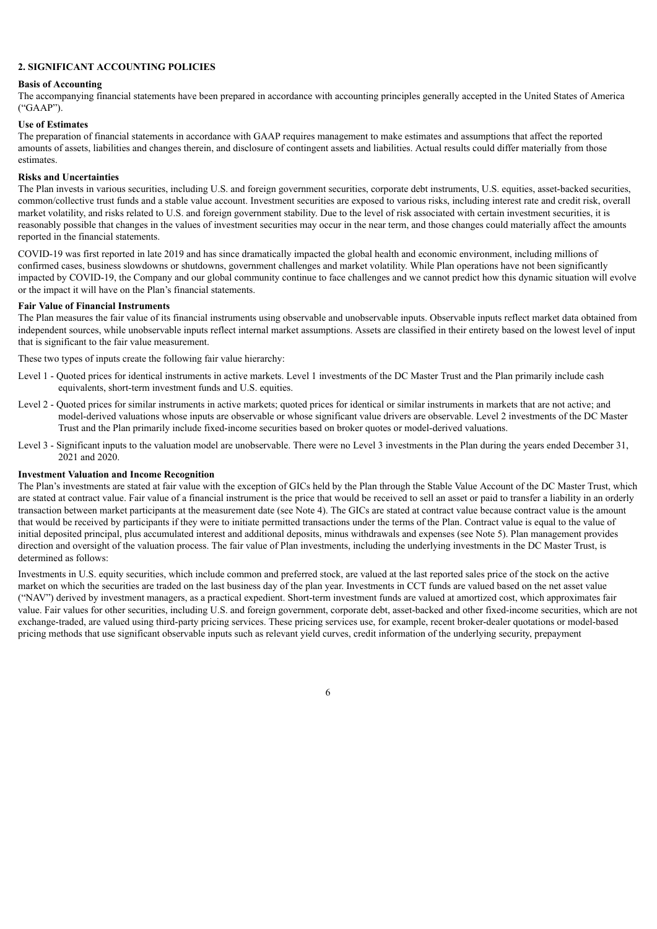#### **2. SIGNIFICANT ACCOUNTING POLICIES**

#### **Basis of Accounting**

The accompanying financial statements have been prepared in accordance with accounting principles generally accepted in the United States of America ("GAAP").

#### **Use of Estimates**

The preparation of financial statements in accordance with GAAP requires management to make estimates and assumptions that affect the reported amounts of assets, liabilities and changes therein, and disclosure of contingent assets and liabilities. Actual results could differ materially from those estimates.

#### **Risks and Uncertainties**

The Plan invests in various securities, including U.S. and foreign government securities, corporate debt instruments, U.S. equities, asset-backed securities, common/collective trust funds and a stable value account. Investment securities are exposed to various risks, including interest rate and credit risk, overall market volatility, and risks related to U.S. and foreign government stability. Due to the level of risk associated with certain investment securities, it is reasonably possible that changes in the values of investment securities may occur in the near term, and those changes could materially affect the amounts reported in the financial statements.

COVID-19 was first reported in late 2019 and has since dramatically impacted the global health and economic environment, including millions of confirmed cases, business slowdowns or shutdowns, government challenges and market volatility. While Plan operations have not been significantly impacted by COVID-19, the Company and our global community continue to face challenges and we cannot predict how this dynamic situation will evolve or the impact it will have on the Plan's financial statements.

#### **Fair Value of Financial Instruments**

The Plan measures the fair value of its financial instruments using observable and unobservable inputs. Observable inputs reflect market data obtained from independent sources, while unobservable inputs reflect internal market assumptions. Assets are classified in their entirety based on the lowest level of input that is significant to the fair value measurement.

These two types of inputs create the following fair value hierarchy:

- Level 1 Quoted prices for identical instruments in active markets. Level 1 investments of the DC Master Trust and the Plan primarily include cash equivalents, short-term investment funds and U.S. equities.
- Level 2 Quoted prices for similar instruments in active markets; quoted prices for identical or similar instruments in markets that are not active; and model-derived valuations whose inputs are observable or whose significant value drivers are observable. Level 2 investments of the DC Master Trust and the Plan primarily include fixed-income securities based on broker quotes or model-derived valuations.
- Level 3 Significant inputs to the valuation model are unobservable. There were no Level 3 investments in the Plan during the years ended December 31, 2021 and 2020.

#### **Investment Valuation and Income Recognition**

The Plan's investments are stated at fair value with the exception of GICs held by the Plan through the Stable Value Account of the DC Master Trust, which are stated at contract value. Fair value of a financial instrument is the price that would be received to sell an asset or paid to transfer a liability in an orderly transaction between market participants at the measurement date (see Note 4). The GICs are stated at contract value because contract value is the amount that would be received by participants if they were to initiate permitted transactions under the terms of the Plan. Contract value is equal to the value of initial deposited principal, plus accumulated interest and additional deposits, minus withdrawals and expenses (see Note 5). Plan management provides direction and oversight of the valuation process. The fair value of Plan investments, including the underlying investments in the DC Master Trust, is determined as follows:

Investments in U.S. equity securities, which include common and preferred stock, are valued at the last reported sales price of the stock on the active market on which the securities are traded on the last business day of the plan year. Investments in CCT funds are valued based on the net asset value ("NAV") derived by investment managers, as a practical expedient. Short-term investment funds are valued at amortized cost, which approximates fair value. Fair values for other securities, including U.S. and foreign government, corporate debt, asset-backed and other fixed-income securities, which are not exchange-traded, are valued using third-party pricing services. These pricing services use, for example, recent broker-dealer quotations or model-based pricing methods that use significant observable inputs such as relevant yield curves, credit information of the underlying security, prepayment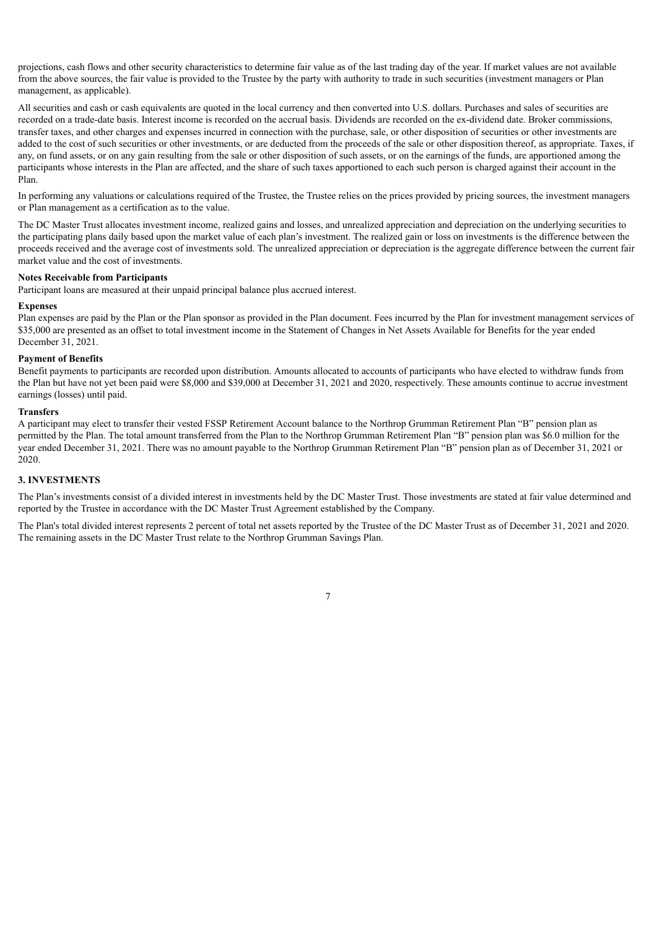projections, cash flows and other security characteristics to determine fair value as of the last trading day of the year. If market values are not available from the above sources, the fair value is provided to the Trustee by the party with authority to trade in such securities (investment managers or Plan management, as applicable).

All securities and cash or cash equivalents are quoted in the local currency and then converted into U.S. dollars. Purchases and sales of securities are recorded on a trade-date basis. Interest income is recorded on the accrual basis. Dividends are recorded on the ex-dividend date. Broker commissions, transfer taxes, and other charges and expenses incurred in connection with the purchase, sale, or other disposition of securities or other investments are added to the cost of such securities or other investments, or are deducted from the proceeds of the sale or other disposition thereof, as appropriate. Taxes, if any, on fund assets, or on any gain resulting from the sale or other disposition of such assets, or on the earnings of the funds, are apportioned among the participants whose interests in the Plan are affected, and the share of such taxes apportioned to each such person is charged against their account in the Plan.

In performing any valuations or calculations required of the Trustee, the Trustee relies on the prices provided by pricing sources, the investment managers or Plan management as a certification as to the value.

The DC Master Trust allocates investment income, realized gains and losses, and unrealized appreciation and depreciation on the underlying securities to the participating plans daily based upon the market value of each plan's investment. The realized gain or loss on investments is the difference between the proceeds received and the average cost of investments sold. The unrealized appreciation or depreciation is the aggregate difference between the current fair market value and the cost of investments.

#### **Notes Receivable from Participants**

Participant loans are measured at their unpaid principal balance plus accrued interest.

#### **Expenses**

Plan expenses are paid by the Plan or the Plan sponsor as provided in the Plan document. Fees incurred by the Plan for investment management services of \$35,000 are presented as an offset to total investment income in the Statement of Changes in Net Assets Available for Benefits for the year ended December 31, 2021.

#### **Payment of Benefits**

Benefit payments to participants are recorded upon distribution. Amounts allocated to accounts of participants who have elected to withdraw funds from the Plan but have not yet been paid were \$8,000 and \$39,000 at December 31, 2021 and 2020, respectively. These amounts continue to accrue investment earnings (losses) until paid.

#### **Transfers**

A participant may elect to transfer their vested FSSP Retirement Account balance to the Northrop Grumman Retirement Plan "B" pension plan as permitted by the Plan. The total amount transferred from the Plan to the Northrop Grumman Retirement Plan "B" pension plan was \$6.0 million for the year ended December 31, 2021. There was no amount payable to the Northrop Grumman Retirement Plan "B" pension plan as of December 31, 2021 or 2020.

#### **3. INVESTMENTS**

The Plan's investments consist of a divided interest in investments held by the DC Master Trust. Those investments are stated at fair value determined and reported by the Trustee in accordance with the DC Master Trust Agreement established by the Company.

The Plan's total divided interest represents 2 percent of total net assets reported by the Trustee of the DC Master Trust as of December 31, 2021 and 2020. The remaining assets in the DC Master Trust relate to the Northrop Grumman Savings Plan.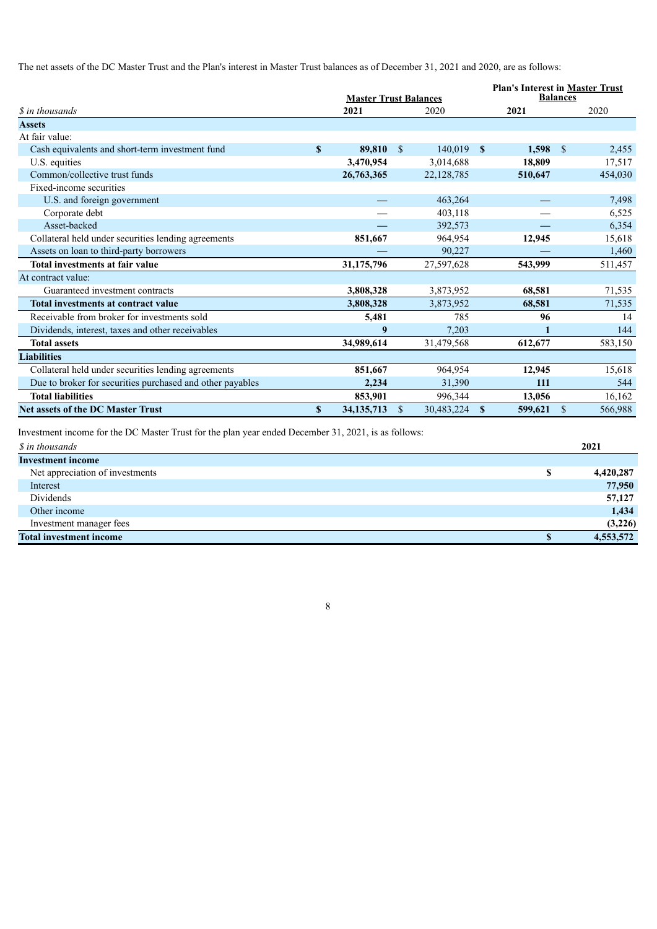The net assets of the DC Master Trust and the Plan's interest in Master Trust balances as of December 31, 2021 and 2020, are as follows:

|                                                           |   | <b>Master Trust Balances</b> |               |              |              |         | <b>Plan's Interest in Master Trust</b><br><b>Balances</b> |         |
|-----------------------------------------------------------|---|------------------------------|---------------|--------------|--------------|---------|-----------------------------------------------------------|---------|
| <i>S</i> in thousands                                     |   | 2021                         |               | 2020         |              | 2021    |                                                           | 2020    |
| <b>Assets</b>                                             |   |                              |               |              |              |         |                                                           |         |
| At fair value:                                            |   |                              |               |              |              |         |                                                           |         |
| Cash equivalents and short-term investment fund           | S | 89,810                       | <sup>\$</sup> | $140,019$ \$ |              | 1,598   | $\mathbf{\hat{s}}$                                        | 2,455   |
| U.S. equities                                             |   | 3,470,954                    |               | 3,014,688    |              | 18,809  |                                                           | 17,517  |
| Common/collective trust funds                             |   | 26,763,365                   |               | 22, 128, 785 |              | 510,647 |                                                           | 454,030 |
| Fixed-income securities                                   |   |                              |               |              |              |         |                                                           |         |
| U.S. and foreign government                               |   |                              |               | 463,264      |              |         |                                                           | 7,498   |
| Corporate debt                                            |   |                              |               | 403,118      |              |         |                                                           | 6,525   |
| Asset-backed                                              |   |                              |               | 392,573      |              |         |                                                           | 6,354   |
| Collateral held under securities lending agreements       |   | 851,667                      |               | 964,954      |              | 12,945  |                                                           | 15,618  |
| Assets on loan to third-party borrowers                   |   |                              |               | 90,227       |              |         |                                                           | 1,460   |
| Total investments at fair value                           |   | 31,175,796                   |               | 27,597,628   |              | 543,999 |                                                           | 511,457 |
| At contract value:                                        |   |                              |               |              |              |         |                                                           |         |
| Guaranteed investment contracts                           |   | 3,808,328                    |               | 3,873,952    |              | 68,581  |                                                           | 71,535  |
| <b>Total investments at contract value</b>                |   | 3,808,328                    |               | 3,873,952    |              | 68,581  |                                                           | 71,535  |
| Receivable from broker for investments sold               |   | 5,481                        |               | 785          |              | 96      |                                                           | 14      |
| Dividends, interest, taxes and other receivables          |   | 9                            |               | 7,203        |              | 1       |                                                           | 144     |
| <b>Total assets</b>                                       |   | 34,989,614                   |               | 31,479,568   |              | 612,677 |                                                           | 583,150 |
| <b>Liabilities</b>                                        |   |                              |               |              |              |         |                                                           |         |
| Collateral held under securities lending agreements       |   | 851,667                      |               | 964,954      |              | 12,945  |                                                           | 15,618  |
| Due to broker for securities purchased and other payables |   | 2,234                        |               | 31,390       |              | 111     |                                                           | 544     |
| <b>Total liabilities</b>                                  |   | 853,901                      |               | 996,344      |              | 13,056  |                                                           | 16,162  |
| <b>Net assets of the DC Master Trust</b>                  | S | 34, 135, 713                 | $\mathbf{\$}$ | 30,483,224   | $\mathbf{s}$ | 599,621 | $\mathcal{S}$                                             | 566,988 |

Investment income for the DC Master Trust for the plan year ended December 31, 2021, is as follows:

| <b>Investment income</b>             |           |
|--------------------------------------|-----------|
| Net appreciation of investments<br>S | 4,420,287 |
| Interest                             | 77,950    |
| Dividends                            | 57,127    |
| Other income                         | 1,434     |
| Investment manager fees              | (3,226)   |
| <b>Total investment income</b>       | 4,553,572 |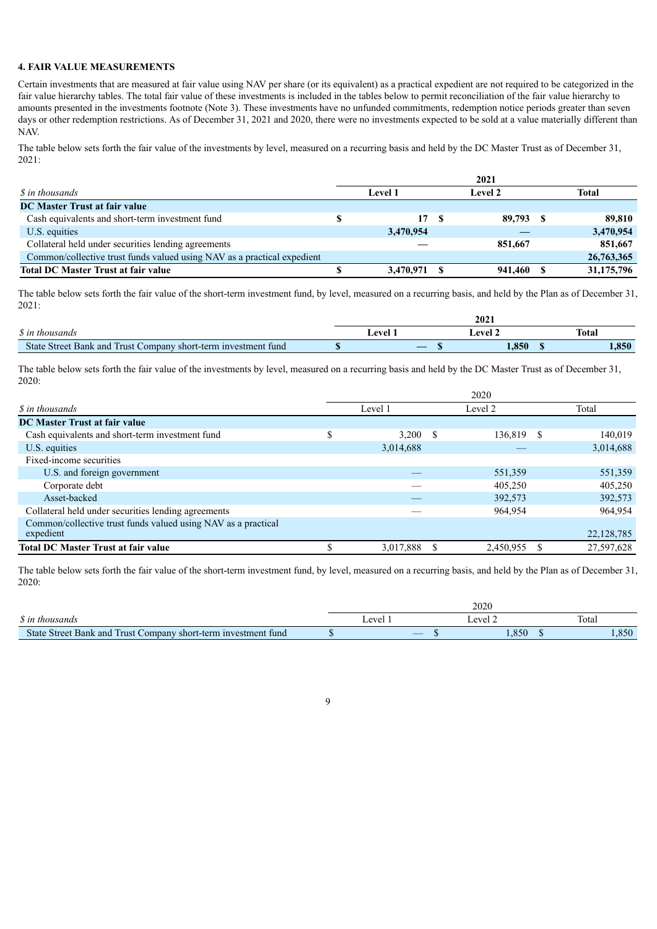#### **4. FAIR VALUE MEASUREMENTS**

Certain investments that are measured at fair value using NAV per share (or its equivalent) as a practical expedient are not required to be categorized in the fair value hierarchy tables. The total fair value of these investments is included in the tables below to permit reconciliation of the fair value hierarchy to amounts presented in the investments footnote (Note 3). These investments have no unfunded commitments, redemption notice periods greater than seven days or other redemption restrictions. As of December 31, 2021 and 2020, there were no investments expected to be sold at a value materially different than NAV.

The table below sets forth the fair value of the investments by level, measured on a recurring basis and held by the DC Master Trust as of December 31, 2021:

|                                                                         | 2021 |                |  |         |  |            |  |
|-------------------------------------------------------------------------|------|----------------|--|---------|--|------------|--|
| <i>S</i> in thousands                                                   |      | <b>Level</b> 1 |  | Level 2 |  | Total      |  |
| <b>DC Master Trust at fair value</b>                                    |      |                |  |         |  |            |  |
| Cash equivalents and short-term investment fund                         |      | 17S            |  | 89,793  |  | 89.810     |  |
| U.S. equities                                                           |      | 3,470,954      |  |         |  | 3,470,954  |  |
| Collateral held under securities lending agreements                     |      |                |  | 851,667 |  | 851,667    |  |
| Common/collective trust funds valued using NAV as a practical expedient |      |                |  |         |  | 26,763,365 |  |
| <b>Total DC Master Trust at fair value</b>                              |      | 3.470.971      |  | 941,460 |  | 31,175,796 |  |

The table below sets forth the fair value of the short-term investment fund, by level, measured on a recurring basis, and held by the Plan as of December 31, 2021:

|                                                                | 2021 |       |              |  |  |  |
|----------------------------------------------------------------|------|-------|--------------|--|--|--|
| <i>S</i> in thousands                                          | ever | امتعم | <b>Total</b> |  |  |  |
| State Street Bank and Trust Company short-term investment fund |      | l.850 | 1,850        |  |  |  |

The table below sets forth the fair value of the investments by level, measured on a recurring basis and held by the DC Master Trust as of December 31, 2020:

|                                                               | 2020 |           |      |           |    |              |  |
|---------------------------------------------------------------|------|-----------|------|-----------|----|--------------|--|
| <i>S</i> in thousands                                         |      | Level 1   |      | Level 2   |    | Total        |  |
| <b>DC Master Trust at fair value</b>                          |      |           |      |           |    |              |  |
| Cash equivalents and short-term investment fund               | \$   | 3.200     | - \$ | 136,819   | -S | 140,019      |  |
| U.S. equities                                                 |      | 3,014,688 |      |           |    | 3,014,688    |  |
| Fixed-income securities                                       |      |           |      |           |    |              |  |
| U.S. and foreign government                                   |      |           |      | 551,359   |    | 551,359      |  |
| Corporate debt                                                |      |           |      | 405,250   |    | 405,250      |  |
| Asset-backed                                                  |      |           |      | 392,573   |    | 392,573      |  |
| Collateral held under securities lending agreements           |      |           |      | 964,954   |    | 964,954      |  |
| Common/collective trust funds valued using NAV as a practical |      |           |      |           |    |              |  |
| expedient                                                     |      |           |      |           |    | 22, 128, 785 |  |
| <b>Total DC Master Trust at fair value</b>                    |      | 3,017,888 |      | 2,450,955 |    | 27,597,628   |  |

The table below sets forth the fair value of the short-term investment fund, by level, measured on a recurring basis, and held by the Plan as of December 31, 2020:

|                                                                | 2020  |  |        |       |      |  |
|----------------------------------------------------------------|-------|--|--------|-------|------|--|
| <i>S</i> in thousands                                          | Level |  | evel 2 | Total |      |  |
| State Street Bank and Trust Company short-term investment fund |       |  | .850   |       | ,850 |  |

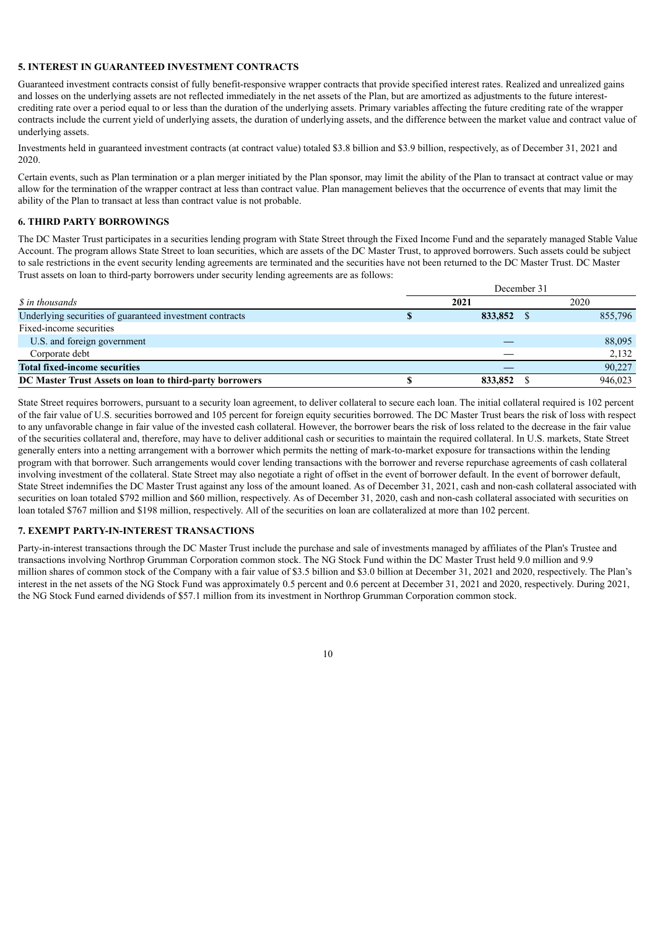#### **5. INTEREST IN GUARANTEED INVESTMENT CONTRACTS**

Guaranteed investment contracts consist of fully benefit-responsive wrapper contracts that provide specified interest rates. Realized and unrealized gains and losses on the underlying assets are not reflected immediately in the net assets of the Plan, but are amortized as adjustments to the future interestcrediting rate over a period equal to or less than the duration of the underlying assets. Primary variables affecting the future crediting rate of the wrapper contracts include the current yield of underlying assets, the duration of underlying assets, and the difference between the market value and contract value of underlying assets.

Investments held in guaranteed investment contracts (at contract value) totaled \$3.8 billion and \$3.9 billion, respectively, as of December 31, 2021 and 2020.

Certain events, such as Plan termination or a plan merger initiated by the Plan sponsor, may limit the ability of the Plan to transact at contract value or may allow for the termination of the wrapper contract at less than contract value. Plan management believes that the occurrence of events that may limit the ability of the Plan to transact at less than contract value is not probable.

#### **6. THIRD PARTY BORROWINGS**

The DC Master Trust participates in a securities lending program with State Street through the Fixed Income Fund and the separately managed Stable Value Account. The program allows State Street to loan securities, which are assets of the DC Master Trust, to approved borrowers. Such assets could be subject to sale restrictions in the event security lending agreements are terminated and the securities have not been returned to the DC Master Trust. DC Master Trust assets on loan to third-party borrowers under security lending agreements are as follows:

|                                                          | December 31 |         |  |      |         |  |  |  |
|----------------------------------------------------------|-------------|---------|--|------|---------|--|--|--|
| <i>S</i> in thousands                                    | 2021        |         |  | 2020 |         |  |  |  |
| Underlying securities of guaranteed investment contracts |             | 833,852 |  |      | 855,796 |  |  |  |
| Fixed-income securities                                  |             |         |  |      |         |  |  |  |
| U.S. and foreign government                              |             |         |  |      | 88,095  |  |  |  |
| Corporate debt                                           |             |         |  |      | 2,132   |  |  |  |
| <b>Total fixed-income securities</b>                     |             |         |  |      | 90,227  |  |  |  |
| DC Master Trust Assets on loan to third-party borrowers  |             | 833,852 |  |      | 946,023 |  |  |  |

State Street requires borrowers, pursuant to a security loan agreement, to deliver collateral to secure each loan. The initial collateral required is 102 percent of the fair value of U.S. securities borrowed and 105 percent for foreign equity securities borrowed. The DC Master Trust bears the risk of loss with respect to any unfavorable change in fair value of the invested cash collateral. However, the borrower bears the risk of loss related to the decrease in the fair value of the securities collateral and, therefore, may have to deliver additional cash or securities to maintain the required collateral. In U.S. markets, State Street generally enters into a netting arrangement with a borrower which permits the netting of mark-to-market exposure for transactions within the lending program with that borrower. Such arrangements would cover lending transactions with the borrower and reverse repurchase agreements of cash collateral involving investment of the collateral. State Street may also negotiate a right of offset in the event of borrower default. In the event of borrower default, State Street indemnifies the DC Master Trust against any loss of the amount loaned. As of December 31, 2021, cash and non-cash collateral associated with securities on loan totaled \$792 million and \$60 million, respectively. As of December 31, 2020, cash and non-cash collateral associated with securities on loan totaled \$767 million and \$198 million, respectively. All of the securities on loan are collateralized at more than 102 percent.

#### **7. EXEMPT PARTY-IN-INTEREST TRANSACTIONS**

Party-in-interest transactions through the DC Master Trust include the purchase and sale of investments managed by affiliates of the Plan's Trustee and transactions involving Northrop Grumman Corporation common stock. The NG Stock Fund within the DC Master Trust held 9.0 million and 9.9 million shares of common stock of the Company with a fair value of \$3.5 billion and \$3.0 billion at December 31, 2021 and 2020, respectively. The Plan's interest in the net assets of the NG Stock Fund was approximately 0.5 percent and 0.6 percent at December 31, 2021 and 2020, respectively. During 2021, the NG Stock Fund earned dividends of \$57.1 million from its investment in Northrop Grumman Corporation common stock.

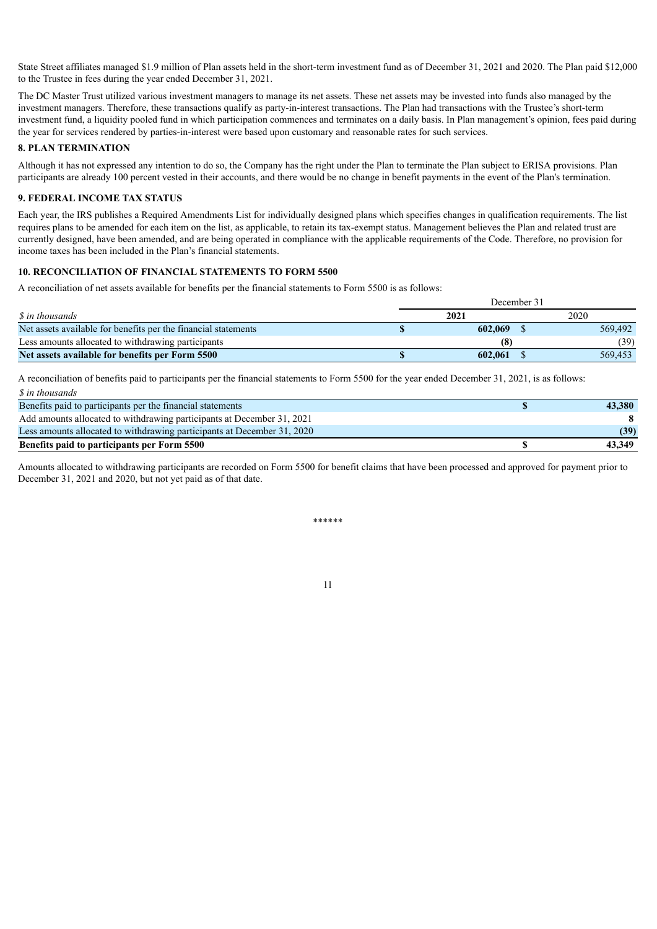State Street affiliates managed \$1.9 million of Plan assets held in the short-term investment fund as of December 31, 2021 and 2020. The Plan paid \$12,000 to the Trustee in fees during the year ended December 31, 2021.

The DC Master Trust utilized various investment managers to manage its net assets. These net assets may be invested into funds also managed by the investment managers. Therefore, these transactions qualify as party-in-interest transactions. The Plan had transactions with the Trustee's short-term investment fund, a liquidity pooled fund in which participation commences and terminates on a daily basis. In Plan management's opinion, fees paid during the year for services rendered by parties-in-interest were based upon customary and reasonable rates for such services.

#### **8. PLAN TERMINATION**

Although it has not expressed any intention to do so, the Company has the right under the Plan to terminate the Plan subject to ERISA provisions. Plan participants are already 100 percent vested in their accounts, and there would be no change in benefit payments in the event of the Plan's termination.

#### **9. FEDERAL INCOME TAX STATUS**

Each year, the IRS publishes a Required Amendments List for individually designed plans which specifies changes in qualification requirements. The list requires plans to be amended for each item on the list, as applicable, to retain its tax-exempt status. Management believes the Plan and related trust are currently designed, have been amended, and are being operated in compliance with the applicable requirements of the Code. Therefore, no provision for income taxes has been included in the Plan's financial statements.

#### **10. RECONCILIATION OF FINANCIAL STATEMENTS TO FORM 5500**

A reconciliation of net assets available for benefits per the financial statements to Form 5500 is as follows:

|                                                                | December 31 |         |      |         |  |
|----------------------------------------------------------------|-------------|---------|------|---------|--|
| <i>S</i> in thousands                                          |             | 2021    | 2020 |         |  |
| Net assets available for benefits per the financial statements |             | 602,069 |      | 569.492 |  |
| Less amounts allocated to withdrawing participants             |             | (8)     |      | (39)    |  |
| Net assets available for benefits per Form 5500                |             | 602.061 |      | 569.453 |  |

A reconciliation of benefits paid to participants per the financial statements to Form 5500 for the year ended December 31, 2021, is as follows: *\$ in thousands*

| Benefits paid to participants per the financial statements              | 43,380 |
|-------------------------------------------------------------------------|--------|
| Add amounts allocated to withdrawing participants at December 31, 2021  |        |
| Less amounts allocated to withdrawing participants at December 31, 2020 | (39)   |
| Benefits paid to participants per Form 5500                             | 43.349 |

<span id="page-13-0"></span>Amounts allocated to withdrawing participants are recorded on Form 5500 for benefit claims that have been processed and approved for payment prior to December 31, 2021 and 2020, but not yet paid as of that date.

\*\*\*\*\*\*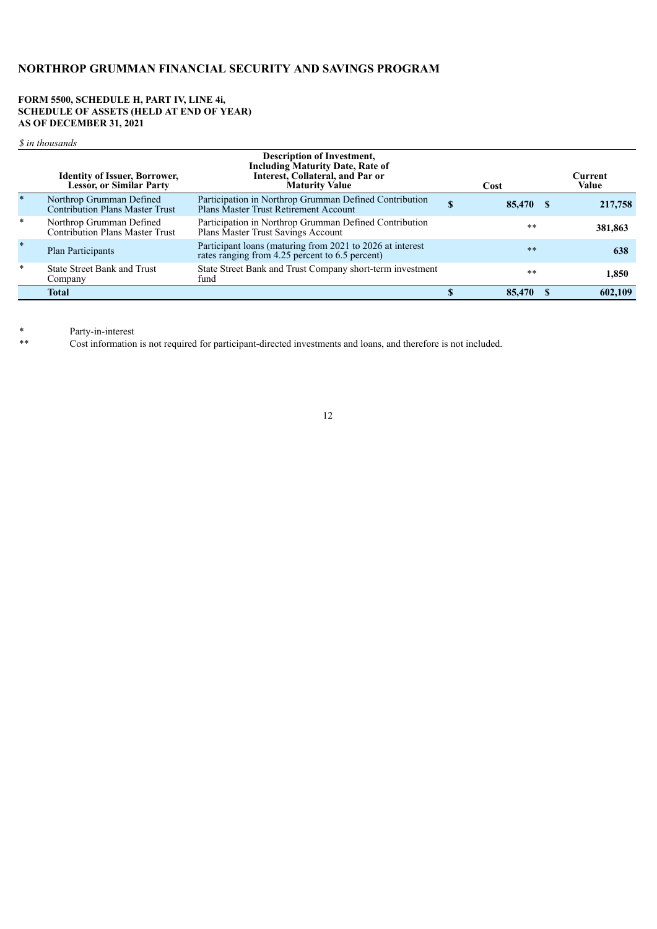#### **FORM 5500, SCHEDULE H, PART IV, LINE 4i, SCHEDULE OF ASSETS (HELD AT END OF YEAR) AS OF DECEMBER 31, 2021**

*\$ in thousands*

|         | <b>Identity of Issuer, Borrower,</b><br><b>Lessor, or Similar Party</b> | <b>Description of Investment,</b><br><b>Including Maturity Date, Rate of</b><br>Interest, Collateral, and Par or<br><b>Maturity Value</b> |   | Cost   | Current<br>Value |
|---------|-------------------------------------------------------------------------|-------------------------------------------------------------------------------------------------------------------------------------------|---|--------|------------------|
| $\ast$  | Northrop Grumman Defined<br><b>Contribution Plans Master Trust</b>      | Participation in Northrop Grumman Defined Contribution<br>Plans Master Trust Retirement Account                                           | S | 85.470 | 217,758          |
| $\star$ | Northrop Grumman Defined<br><b>Contribution Plans Master Trust</b>      | Participation in Northrop Grumman Defined Contribution<br>Plans Master Trust Savings Account                                              |   | $* *$  | 381,863          |
| $\star$ | Plan Participants                                                       | Participant loans (maturing from 2021 to 2026 at interest<br>rates ranging from 4.25 percent to 6.5 percent)                              |   | $**$   | 638              |
| $\ast$  | <b>State Street Bank and Trust</b><br>Company                           | State Street Bank and Trust Company short-term investment<br>fund                                                                         |   | $* *$  | 1,850            |
|         | <b>Total</b>                                                            |                                                                                                                                           |   | 85.470 | 602,109          |

\* Party-in-interest

<span id="page-14-0"></span>Cost information is not required for participant-directed investments and loans, and therefore is not included.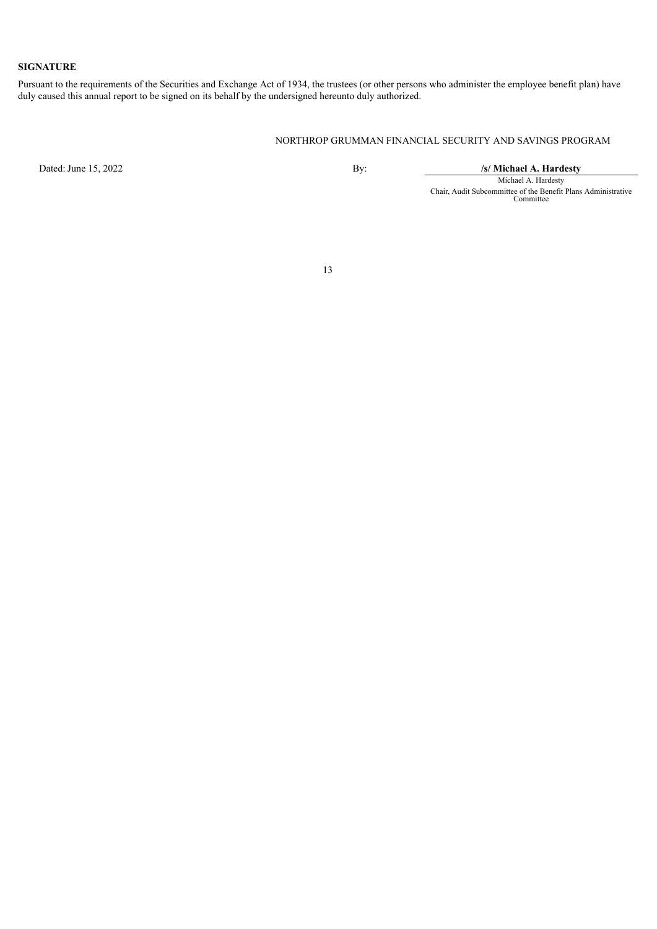#### **SIGNATURE**

Pursuant to the requirements of the Securities and Exchange Act of 1934, the trustees (or other persons who administer the employee benefit plan) have duly caused this annual report to be signed on its behalf by the undersigned hereunto duly authorized.

#### NORTHROP GRUMMAN FINANCIAL SECURITY AND SAVINGS PROGRAM

<span id="page-15-0"></span>

Dated: June 15, 2022 By: **/s/ Michael A. Hardesty**

Michael A. Hardesty Chair, Audit Subcommittee of the Benefit Plans Administrative Committee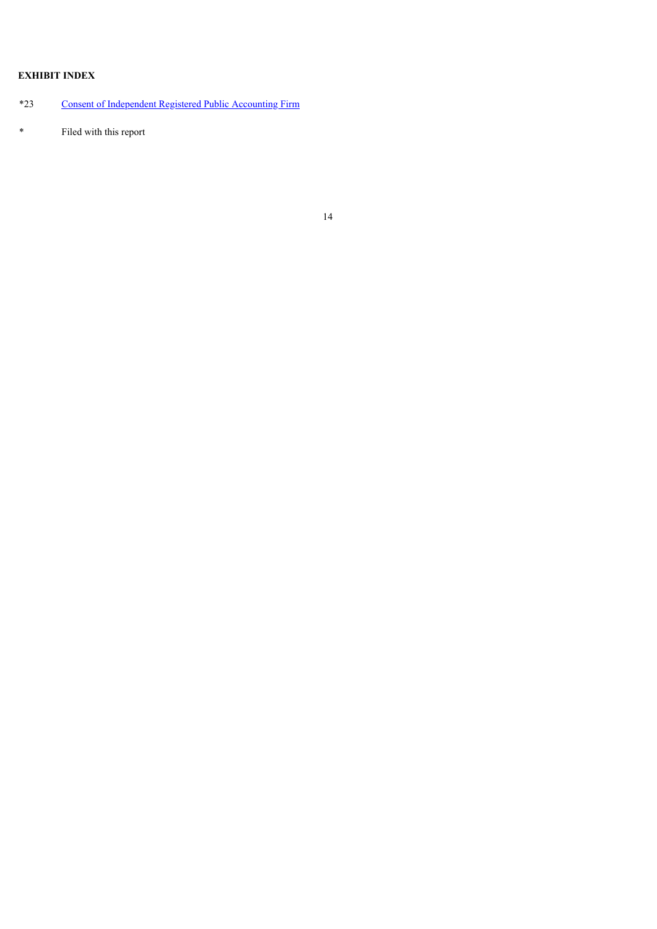## **EXHIBIT INDEX**

## \*23 Consent of [Independent](#page-17-0) Registered Public Accounting Firm

\* Filed with this report